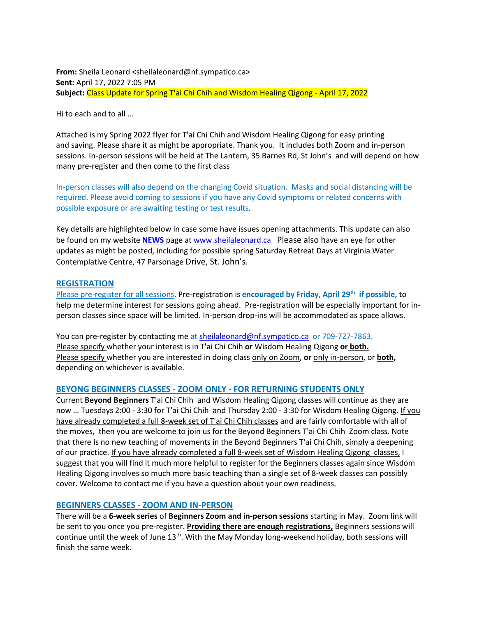**From:** Sheila Leonard <sheilaleonard@nf.sympatico.ca> **Sent:** April 17, 2022 7:05 PM **Subject:** Class Update for Spring T'ai Chi Chih and Wisdom Healing Qigong - April 17, 2022

Hi to each and to all …

Attached is my Spring 2022 flyer for T'ai Chi Chih and Wisdom Healing Qigong for easy printing and saving. Please share it as might be appropriate. Thank you. It includes both Zoom and in-person sessions. In-person sessions will be held at The Lantern, 35 Barnes Rd, St John's and will depend on how many pre-register and then come to the first class

In-person classes will also depend on the changing Covid situation. Masks and social distancing will be required. Please avoid coming to sessions if you have any Covid symptoms or related concerns with possible exposure or are awaiting testing or test results.

Key details are highlighted below in case some have issues opening attachments. This update can also be found on my website **[NEWS](https://sheilaleonard.ca/news-updates/)** page a[t www.sheilaleonard.ca](http://www.sheilaleonard.ca/) Please also have an eye for other updates as might be posted, including for possible spring Saturday Retreat Days at Virginia Water Contemplative Centre, 47 Parsonage Drive, St. John's.

### **REGISTRATION**

Please pre-register for all sessions. Pre-registration is **encouraged by Friday, April 29th if possible,** to help me determine interest for sessions going ahead. Pre-registration will be especially important for inperson classes since space will be limited. In-person drop-ins will be accommodated as space allows.

You can pre-register by contacting me at [sheilaleonard@nf.sympatico.ca](mailto:sheilaleonard@nf.sympatico.ca) or 709-727-7863. Please specify whether your interest is in T'ai Chi Chih **or** Wisdom Healing Qigong **or both.** Please specify whether you are interested in doing class only on Zoom, **or** only in-person, or **both,** depending on whichever is available.

### **BEYONG BEGINNERS CLASSES - ZOOM ONLY - FOR RETURNING STUDENTS ONLY**

Current **Beyond Beginners** T'ai Chi Chih and Wisdom Healing Qigong classes will continue as they are now … Tuesdays 2:00 - 3:30 for T'ai Chi Chih and Thursday 2:00 - 3:30 for Wisdom Healing Qigong. If you have already completed a full 8-week set of T'ai Chi Chih classes and are fairly comfortable with all of the moves, then you are welcome to join us for the Beyond Beginners T'ai Chi Chih Zoom class. Note that there Is no new teaching of movements in the Beyond Beginners T'ai Chi Chih, simply a deepening of our practice. If you have already completed a full 8-week set of Wisdom Healing Qigong classes, I suggest that you will find it much more helpful to register for the Beginners classes again since Wisdom Healing Qigong involves so much more basic teaching than a single set of 8-week classes can possibly cover. Welcome to contact me if you have a question about your own readiness.

### **BEGINNERS CLASSES - ZOOM AND IN-PERSON**

There will be a **6-week series** of **Beginners Zoom and in-person sessions** starting in May. Zoom link will be sent to you once you pre-register. **Providing there are enough registrations,** Beginners sessions will continue until the week of June 13<sup>th</sup>. With the May Monday long-weekend holiday, both sessions will finish the same week.